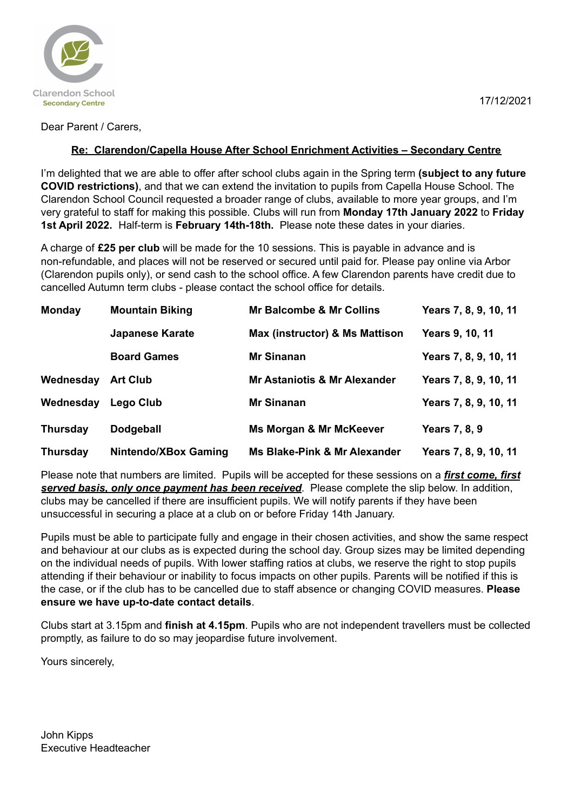

### Dear Parent / Carers,

# **Re: Clarendon/Capella House After School Enrichment Activities – Secondary Centre**

I'm delighted that we are able to offer after school clubs again in the Spring term **(subject to any future COVID restrictions)**, and that we can extend the invitation to pupils from Capella House School. The Clarendon School Council requested a broader range of clubs, available to more year groups, and I'm very grateful to staff for making this possible. Clubs will run from **Monday 17th January 2022** to **Friday 1st April 2022.** Half-term is **February 14th-18th.** Please note these dates in your diaries.

A charge of **£25 per club** will be made for the 10 sessions. This is payable in advance and is non-refundable, and places will not be reserved or secured until paid for. Please pay online via Arbor (Clarendon pupils only), or send cash to the school office. A few Clarendon parents have credit due to cancelled Autumn term clubs - please contact the school office for details.

| <b>Monday</b>   | <b>Mountain Biking</b> | <b>Mr Balcombe &amp; Mr Collins</b>     | Years 7, 8, 9, 10, 11 |
|-----------------|------------------------|-----------------------------------------|-----------------------|
|                 | <b>Japanese Karate</b> | Max (instructor) & Ms Mattison          | Years 9, 10, 11       |
|                 | <b>Board Games</b>     | <b>Mr Sinanan</b>                       | Years 7, 8, 9, 10, 11 |
| Wednesday       | <b>Art Club</b>        | <b>Mr Astaniotis &amp; Mr Alexander</b> | Years 7, 8, 9, 10, 11 |
| Wednesday       | Lego Club              | <b>Mr Sinanan</b>                       | Years 7, 8, 9, 10, 11 |
| <b>Thursday</b> | <b>Dodgeball</b>       | Ms Morgan & Mr McKeever                 | <b>Years 7, 8, 9</b>  |
| <b>Thursday</b> | Nintendo/XBox Gaming   | Ms Blake-Pink & Mr Alexander            | Years 7, 8, 9, 10, 11 |

Please note that numbers are limited. Pupils will be accepted for these sessions on a *first come, first served basis, only once payment has been received*. Please complete the slip below. In addition, clubs may be cancelled if there are insufficient pupils. We will notify parents if they have been unsuccessful in securing a place at a club on or before Friday 14th January.

Pupils must be able to participate fully and engage in their chosen activities, and show the same respect and behaviour at our clubs as is expected during the school day. Group sizes may be limited depending on the individual needs of pupils. With lower staffing ratios at clubs, we reserve the right to stop pupils attending if their behaviour or inability to focus impacts on other pupils. Parents will be notified if this is the case, or if the club has to be cancelled due to staff absence or changing COVID measures. **Please ensure we have up-to-date contact details**.

Clubs start at 3.15pm and **finish at 4.15pm**. Pupils who are not independent travellers must be collected promptly, as failure to do so may jeopardise future involvement.

Yours sincerely,